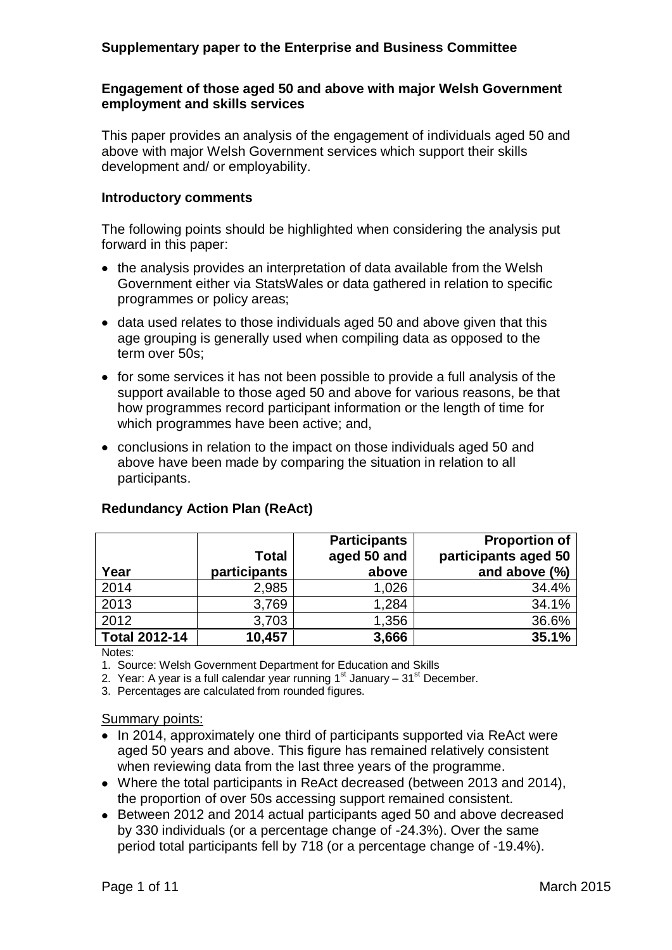# **Supplementary paper to the Enterprise and Business Committee**

## **Engagement of those aged 50 and above with major Welsh Government employment and skills services**

This paper provides an analysis of the engagement of individuals aged 50 and above with major Welsh Government services which support their skills development and/ or employability.

#### **Introductory comments**

The following points should be highlighted when considering the analysis put forward in this paper:

- the analysis provides an interpretation of data available from the Welsh Government either via StatsWales or data gathered in relation to specific programmes or policy areas;
- $\bullet$  data used relates to those individuals aged 50 and above given that this age grouping is generally used when compiling data as opposed to the term over 50s;
- for some services it has not been possible to provide a full analysis of the support available to those aged 50 and above for various reasons, be that how programmes record participant information or the length of time for which programmes have been active; and,
- conclusions in relation to the impact on those individuals aged 50 and above have been made by comparing the situation in relation to all participants.

| Year                 | <b>Total</b><br>participants | <b>Participants</b><br>aged 50 and<br>above | <b>Proportion of</b><br>participants aged 50<br>and above (%) |
|----------------------|------------------------------|---------------------------------------------|---------------------------------------------------------------|
| 2014                 | 2,985                        | 1,026                                       | 34.4%                                                         |
| 2013                 | 3,769                        | 1,284                                       | 34.1%                                                         |
| 2012                 | 3,703                        | 1,356                                       | 36.6%                                                         |
| <b>Total 2012-14</b> | 10,457                       | 3,666                                       | 35.1%                                                         |

## **Redundancy Action Plan (ReAct)**

Notes:

1. Source: Welsh Government Department for Education and Skills

2. Year: A year is a full calendar year running  $1<sup>st</sup>$  January –  $31<sup>st</sup>$  December.

3. Percentages are calculated from rounded figures.

#### Summary points:

- In 2014, approximately one third of participants supported via ReAct were aged 50 years and above. This figure has remained relatively consistent when reviewing data from the last three years of the programme.
- Where the total participants in ReAct decreased (between 2013 and 2014), the proportion of over 50s accessing support remained consistent.
- Between 2012 and 2014 actual participants aged 50 and above decreased by 330 individuals (or a percentage change of -24.3%). Over the same period total participants fell by 718 (or a percentage change of -19.4%).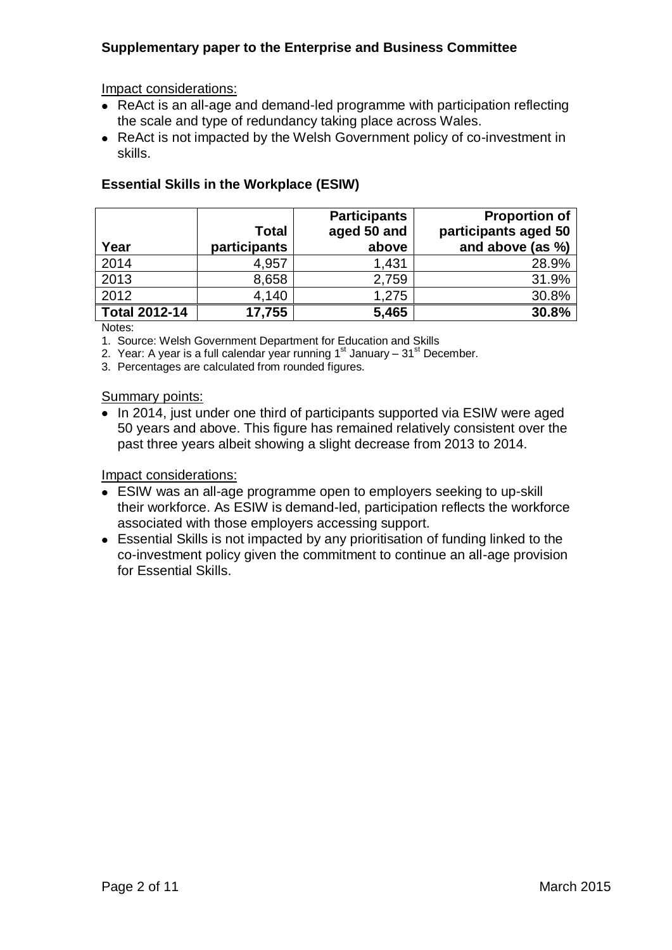# **Supplementary paper to the Enterprise and Business Committee**

## Impact considerations:

- ReAct is an all-age and demand-led programme with participation reflecting the scale and type of redundancy taking place across Wales.
- ReAct is not impacted by the Welsh Government policy of co-investment in skills.

|                      |              | <b>Participants</b> | <b>Proportion of</b> |
|----------------------|--------------|---------------------|----------------------|
|                      | <b>Total</b> | aged 50 and         | participants aged 50 |
| Year                 | participants | above               | and above (as %)     |
| 2014                 | 4,957        | 1,431               | 28.9%                |
| 2013                 | 8,658        | 2,759               | 31.9%                |
| 2012                 | 4,140        | 1,275               | 30.8%                |
| <b>Total 2012-14</b> | 17,755       | 5,465               | 30.8%                |

# **Essential Skills in the Workplace (ESIW)**

Notes:

1. Source: Welsh Government Department for Education and Skills

2. Year: A year is a full calendar year running  $1<sup>st</sup>$  January –  $31<sup>st</sup>$  December.

3. Percentages are calculated from rounded figures.

## Summary points:

• In 2014, just under one third of participants supported via ESIW were aged 50 years and above. This figure has remained relatively consistent over the past three years albeit showing a slight decrease from 2013 to 2014.

- ESIW was an all-age programme open to employers seeking to up-skill their workforce. As ESIW is demand-led, participation reflects the workforce associated with those employers accessing support.
- Essential Skills is not impacted by any prioritisation of funding linked to the co-investment policy given the commitment to continue an all-age provision for Essential Skills.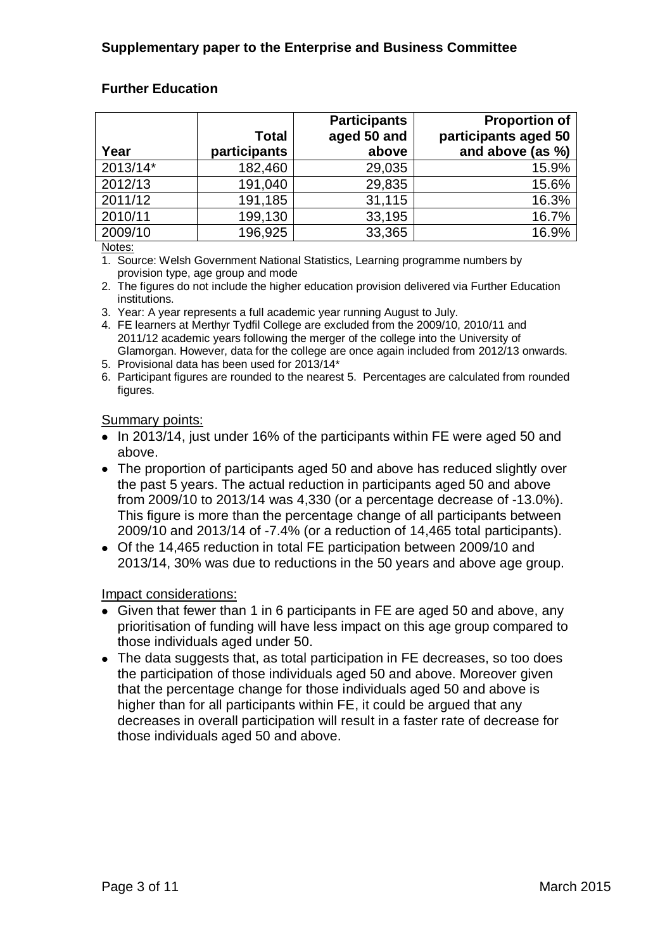# **Further Education**

|          |              | <b>Participants</b> | <b>Proportion of</b> |
|----------|--------------|---------------------|----------------------|
|          | <b>Total</b> | aged 50 and         | participants aged 50 |
| Year     | participants | above               | and above (as %)     |
| 2013/14* | 182,460      | 29,035              | 15.9%                |
| 2012/13  | 191,040      | 29,835              | 15.6%                |
| 2011/12  | 191,185      | 31,115              | 16.3%                |
| 2010/11  | 199,130      | 33,195              | 16.7%                |
| 2009/10  | 196,925      | 33,365              | 16.9%                |

Notes:

1. Source: Welsh Government National Statistics, Learning programme numbers by provision type, age group and mode

2. The figures do not include the higher education provision delivered via Further Education institutions.

3. Year: A year represents a full academic year running August to July.

4. FE learners at Merthyr Tydfil College are excluded from the 2009/10, 2010/11 and 2011/12 academic years following the merger of the college into the University of Glamorgan. However, data for the college are once again included from 2012/13 onwards.

- 5. Provisional data has been used for 2013/14\*
- 6. Participant figures are rounded to the nearest 5. Percentages are calculated from rounded figures.

#### Summary points:

- In 2013/14, just under 16% of the participants within FE were aged 50 and above.
- The proportion of participants aged 50 and above has reduced slightly over the past 5 years. The actual reduction in participants aged 50 and above from 2009/10 to 2013/14 was 4,330 (or a percentage decrease of -13.0%). This figure is more than the percentage change of all participants between 2009/10 and 2013/14 of -7.4% (or a reduction of 14,465 total participants).
- Of the 14,465 reduction in total FE participation between 2009/10 and 2013/14, 30% was due to reductions in the 50 years and above age group.

- Given that fewer than 1 in 6 participants in FE are aged 50 and above, any prioritisation of funding will have less impact on this age group compared to those individuals aged under 50.
- The data suggests that, as total participation in FE decreases, so too does the participation of those individuals aged 50 and above. Moreover given that the percentage change for those individuals aged 50 and above is higher than for all participants within FE, it could be argued that any decreases in overall participation will result in a faster rate of decrease for those individuals aged 50 and above.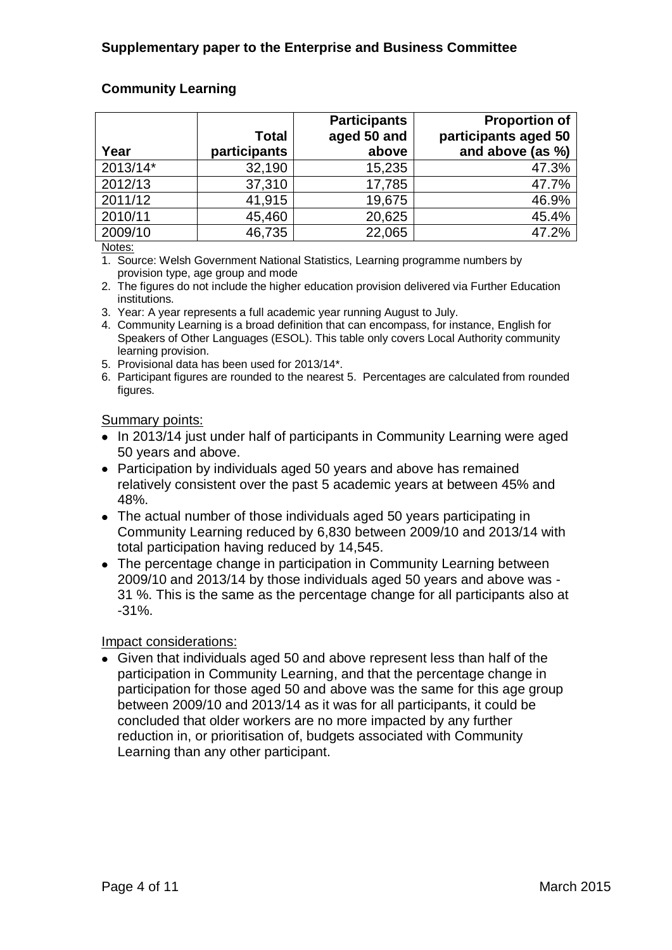# **Community Learning**

|          |              | <b>Participants</b> | <b>Proportion of</b> |
|----------|--------------|---------------------|----------------------|
|          | <b>Total</b> | aged 50 and         | participants aged 50 |
| Year     | participants | above               | and above (as %)     |
| 2013/14* | 32,190       | 15,235              | 47.3%                |
| 2012/13  | 37,310       | 17,785              | 47.7%                |
| 2011/12  | 41,915       | 19,675              | 46.9%                |
| 2010/11  | 45,460       | 20,625              | 45.4%                |
| 2009/10  | 46,735       | 22,065              | 47.2%                |

Notes:

1. Source: Welsh Government National Statistics, Learning programme numbers by provision type, age group and mode

2. The figures do not include the higher education provision delivered via Further Education institutions.

- 3. Year: A year represents a full academic year running August to July.
- 4. Community Learning is a broad definition that can encompass, for instance, English for Speakers of Other Languages (ESOL). This table only covers Local Authority community learning provision.
- 5. Provisional data has been used for 2013/14\*.
- 6. Participant figures are rounded to the nearest 5. Percentages are calculated from rounded figures.

#### Summary points:

- In 2013/14 just under half of participants in Community Learning were aged 50 years and above.
- Participation by individuals aged 50 years and above has remained relatively consistent over the past 5 academic years at between 45% and 48%.
- The actual number of those individuals aged 50 years participating in Community Learning reduced by 6,830 between 2009/10 and 2013/14 with total participation having reduced by 14,545.
- The percentage change in participation in Community Learning between 2009/10 and 2013/14 by those individuals aged 50 years and above was - 31 %. This is the same as the percentage change for all participants also at -31%.

#### Impact considerations:

Given that individuals aged 50 and above represent less than half of the participation in Community Learning, and that the percentage change in participation for those aged 50 and above was the same for this age group between 2009/10 and 2013/14 as it was for all participants, it could be concluded that older workers are no more impacted by any further reduction in, or prioritisation of, budgets associated with Community Learning than any other participant.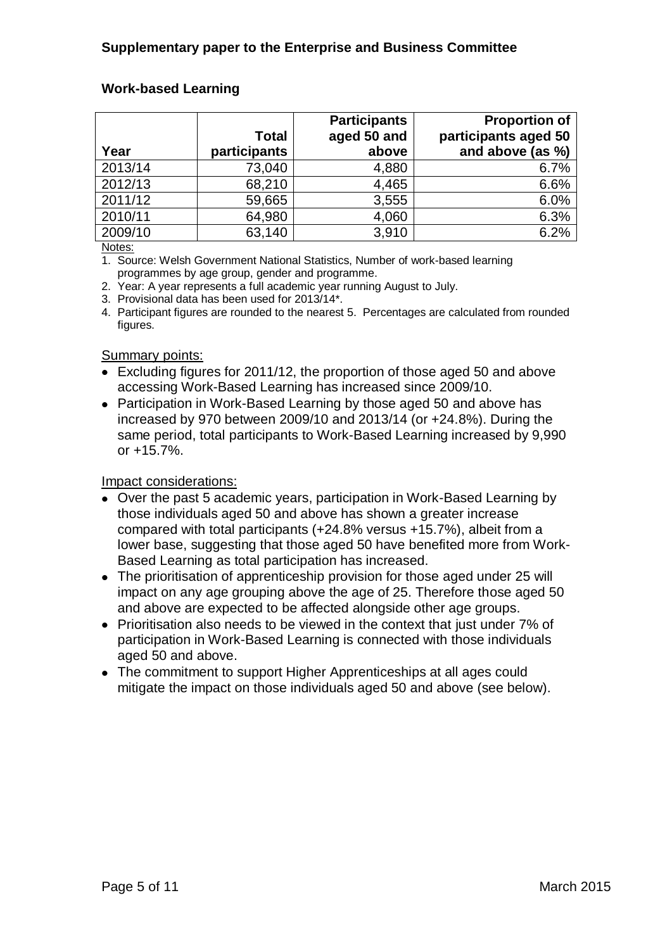# **Work-based Learning**

|         |              | <b>Participants</b> | <b>Proportion of</b> |
|---------|--------------|---------------------|----------------------|
|         | <b>Total</b> | aged 50 and         | participants aged 50 |
| Year    | participants | above               | and above (as %)     |
| 2013/14 | 73,040       | 4,880               | 6.7%                 |
| 2012/13 | 68,210       | 4,465               | 6.6%                 |
| 2011/12 | 59,665       | 3,555               | 6.0%                 |
| 2010/11 | 64,980       | 4,060               | 6.3%                 |
| 2009/10 | 63,140       | 3,910               | 6.2%                 |

Notes:

1. Source: Welsh Government National Statistics, Number of work-based learning programmes by age group, gender and programme.

2. Year: A year represents a full academic year running August to July.

3. Provisional data has been used for 2013/14\*.

4. Participant figures are rounded to the nearest 5. Percentages are calculated from rounded figures.

## Summary points:

- Excluding figures for 2011/12, the proportion of those aged 50 and above accessing Work-Based Learning has increased since 2009/10.
- Participation in Work-Based Learning by those aged 50 and above has increased by 970 between 2009/10 and 2013/14 (or +24.8%). During the same period, total participants to Work-Based Learning increased by 9,990 or +15.7%.

- Over the past 5 academic years, participation in Work-Based Learning by those individuals aged 50 and above has shown a greater increase compared with total participants (+24.8% versus +15.7%), albeit from a lower base, suggesting that those aged 50 have benefited more from Work-Based Learning as total participation has increased.
- The prioritisation of apprenticeship provision for those aged under 25 will impact on any age grouping above the age of 25. Therefore those aged 50 and above are expected to be affected alongside other age groups.
- Prioritisation also needs to be viewed in the context that just under 7% of participation in Work-Based Learning is connected with those individuals aged 50 and above.
- The commitment to support Higher Apprenticeships at all ages could mitigate the impact on those individuals aged 50 and above (see below).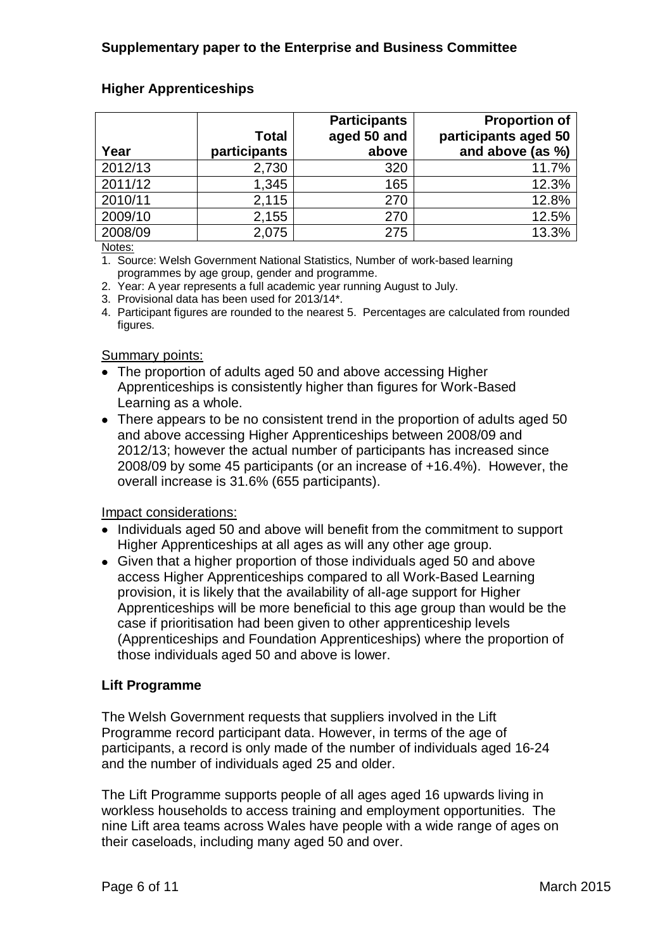# **Higher Apprenticeships**

|         | <b>Total</b> | <b>Participants</b><br>aged 50 and | <b>Proportion of</b><br>participants aged 50 |
|---------|--------------|------------------------------------|----------------------------------------------|
| Year    | participants | above                              | and above (as %)                             |
| 2012/13 | 2,730        | 320                                | 11.7%                                        |
| 2011/12 | 1,345        | 165                                | 12.3%                                        |
| 2010/11 | 2,115        | 270                                | 12.8%                                        |
| 2009/10 | 2,155        | 270                                | 12.5%                                        |
| 2008/09 | 2,075        | 275                                | 13.3%                                        |

Notes:

1. Source: Welsh Government National Statistics, Number of work-based learning programmes by age group, gender and programme.

2. Year: A year represents a full academic year running August to July.

3. Provisional data has been used for 2013/14\*.

4. Participant figures are rounded to the nearest 5. Percentages are calculated from rounded figures.

## Summary points:

- The proportion of adults aged 50 and above accessing Higher Apprenticeships is consistently higher than figures for Work-Based Learning as a whole.
- There appears to be no consistent trend in the proportion of adults aged 50 and above accessing Higher Apprenticeships between 2008/09 and 2012/13; however the actual number of participants has increased since 2008/09 by some 45 participants (or an increase of +16.4%). However, the overall increase is 31.6% (655 participants).

#### Impact considerations:

- Individuals aged 50 and above will benefit from the commitment to support Higher Apprenticeships at all ages as will any other age group.
- Given that a higher proportion of those individuals aged 50 and above access Higher Apprenticeships compared to all Work-Based Learning provision, it is likely that the availability of all-age support for Higher Apprenticeships will be more beneficial to this age group than would be the case if prioritisation had been given to other apprenticeship levels (Apprenticeships and Foundation Apprenticeships) where the proportion of those individuals aged 50 and above is lower.

## **Lift Programme**

The Welsh Government requests that suppliers involved in the Lift Programme record participant data. However, in terms of the age of participants, a record is only made of the number of individuals aged 16-24 and the number of individuals aged 25 and older.

The Lift Programme supports people of all ages aged 16 upwards living in workless households to access training and employment opportunities. The nine Lift area teams across Wales have people with a wide range of ages on their caseloads, including many aged 50 and over.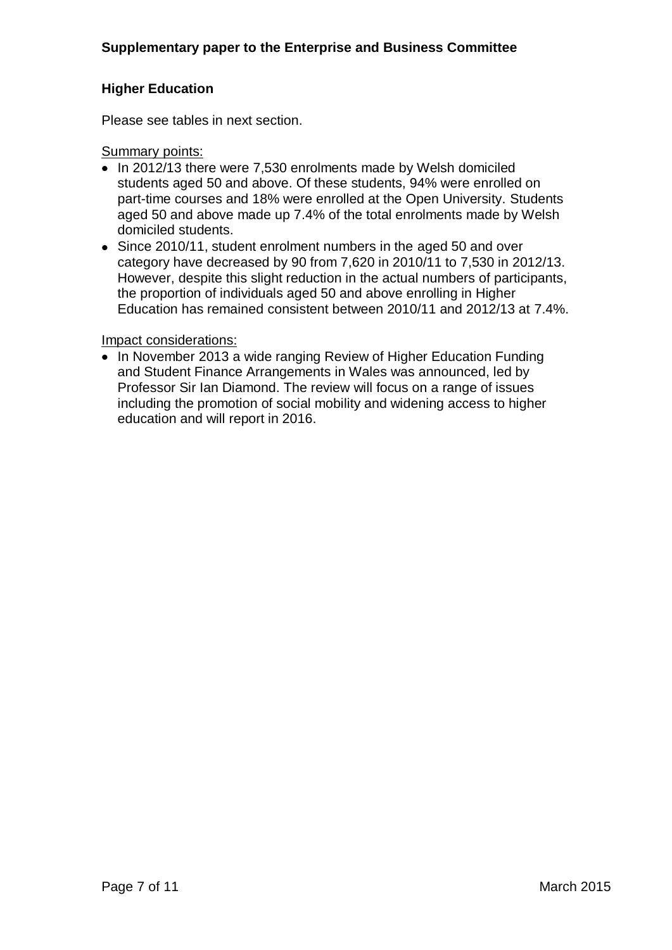# **Higher Education**

Please see tables in next section.

#### Summary points:

- In 2012/13 there were 7,530 enrolments made by Welsh domiciled students aged 50 and above. Of these students, 94% were enrolled on part-time courses and 18% were enrolled at the Open University. Students aged 50 and above made up 7.4% of the total enrolments made by Welsh domiciled students.
- Since 2010/11, student enrolment numbers in the aged 50 and over category have decreased by 90 from 7,620 in 2010/11 to 7,530 in 2012/13. However, despite this slight reduction in the actual numbers of participants, the proportion of individuals aged 50 and above enrolling in Higher Education has remained consistent between 2010/11 and 2012/13 at 7.4%.

#### Impact considerations:

• In November 2013 a wide ranging Review of Higher Education Funding and Student Finance Arrangements in Wales was announced, led by Professor Sir Ian Diamond. The review will focus on a range of issues including the promotion of social mobility and widening access to higher education and will report in 2016.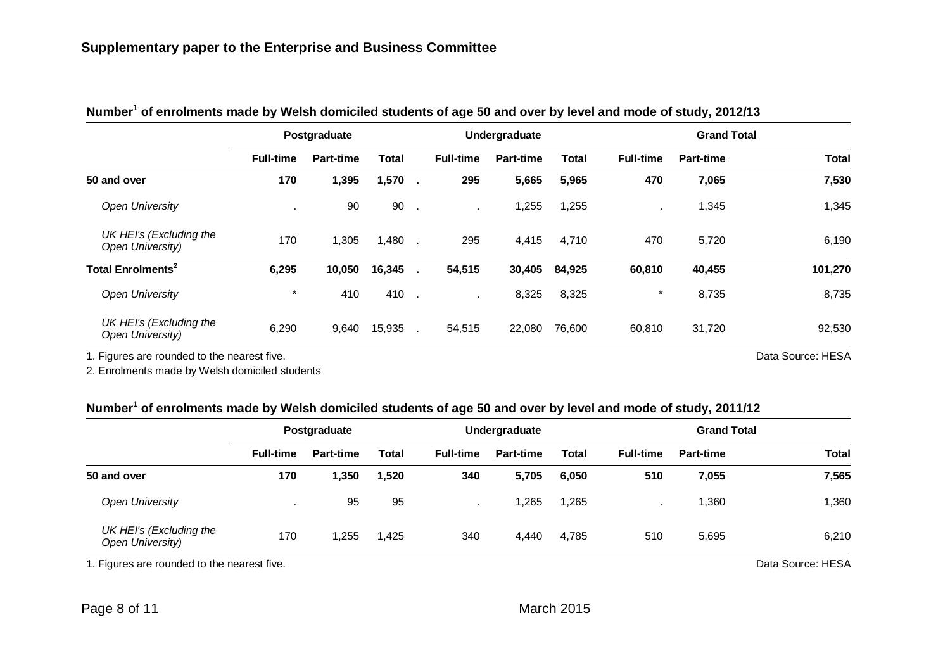|                                             |                  | Postgraduate     |              |              |                  | Undergraduate    |              |                  | <b>Grand Total</b> |              |  |
|---------------------------------------------|------------------|------------------|--------------|--------------|------------------|------------------|--------------|------------------|--------------------|--------------|--|
|                                             | <b>Full-time</b> | <b>Part-time</b> | <b>Total</b> |              | <b>Full-time</b> | <b>Part-time</b> | <b>Total</b> | <b>Full-time</b> | <b>Part-time</b>   | <b>Total</b> |  |
| 50 and over                                 | 170              | 1,395            | 1,570        |              | 295              | 5,665            | 5,965        | 470              | 7,065              | 7,530        |  |
| <b>Open University</b>                      |                  | 90               | 90           | $\sim$       |                  | 1,255            | 1,255        |                  | 1,345              | 1,345        |  |
| UK HEI's (Excluding the<br>Open University) | 170              | ,305             | 1,480        |              | 295              | 4,415            | 4,710        | 470              | 5,720              | 6,190        |  |
| Total Enrolments <sup>2</sup>               | 6,295            | 10,050           | 16,345       | $\mathbf{r}$ | 54,515           | 30,405           | 84,925       | 60,810           | 40,455             | 101,270      |  |
| <b>Open University</b>                      | $\star$          | 410              | 410          | $\mathbf{r}$ | $\mathbf{r}$     | 8,325            | 8,325        | $\star$          | 8,735              | 8,735        |  |
| UK HEI's (Excluding the<br>Open University) | 6,290            | 9,640            | 15,935       |              | 54,515           | 22,080           | 76,600       | 60,810           | 31,720             | 92,530       |  |

# **Number<sup>1</sup> of enrolments made by Welsh domiciled students of age 50 and over by level and mode of study, 2012/13**

1. Figures are rounded to the nearest five. The state of the nearest five. Data Source: HESA

2. Enrolments made by Welsh domiciled students

## **Number<sup>1</sup> of enrolments made by Welsh domiciled students of age 50 and over by level and mode of study, 2011/12**

|                                             |                  | Postgraduate     |       |                  | Undergraduate    |              |                  | <b>Grand Total</b> |              |
|---------------------------------------------|------------------|------------------|-------|------------------|------------------|--------------|------------------|--------------------|--------------|
|                                             | <b>Full-time</b> | <b>Part-time</b> | Total | <b>Full-time</b> | <b>Part-time</b> | <b>Total</b> | <b>Full-time</b> | <b>Part-time</b>   | <b>Total</b> |
| 50 and over                                 | 170              | 1,350            | 1,520 | 340              | 5,705            | 6,050        | 510              | 7,055              | 7,565        |
| <b>Open University</b>                      |                  | 95               | 95    |                  | ,265             | 1,265        |                  | ,360               | 1,360        |
| UK HEI's (Excluding the<br>Open University) | 170              | 1,255            | 1,425 | 340              | 4,440            | 4,785        | 510              | 5,695              | 6,210        |

1. Figures are rounded to the nearest five. The same state of the nearest five. Data Source: HESA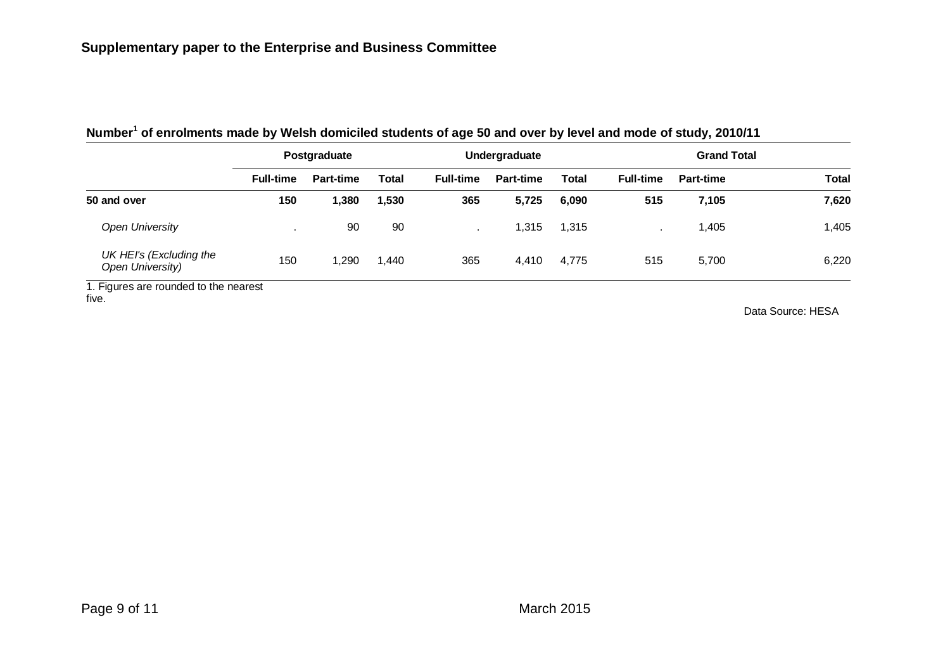| <b>Full-time</b> | <b>Part-time</b> | Total        | <b>Full-time</b> | <b>Part-time</b> | <b>Total</b>  | <b>Full-time</b> | <b>Part-time</b> | Total              |
|------------------|------------------|--------------|------------------|------------------|---------------|------------------|------------------|--------------------|
| 150              | 1,380            | 1,530        | 365              | 5,725            | 6,090         | 515              | 7,105            | 7,620              |
|                  | 90               | 90           |                  | 1,315            | 1,315         |                  | 1,405            | 1,405              |
| 150              | ,290             | ,440         | 365              | 4,410            | 4,775         | 515              | 5,700            | 6,220              |
|                  |                  | Postgraduate |                  |                  | Undergraduate |                  |                  | <b>Grand Total</b> |

# **Number<sup>1</sup> of enrolments made by Welsh domiciled students of age 50 and over by level and mode of study, 2010/11**

1. Figures are rounded to the nearest five.

Data Source: HESA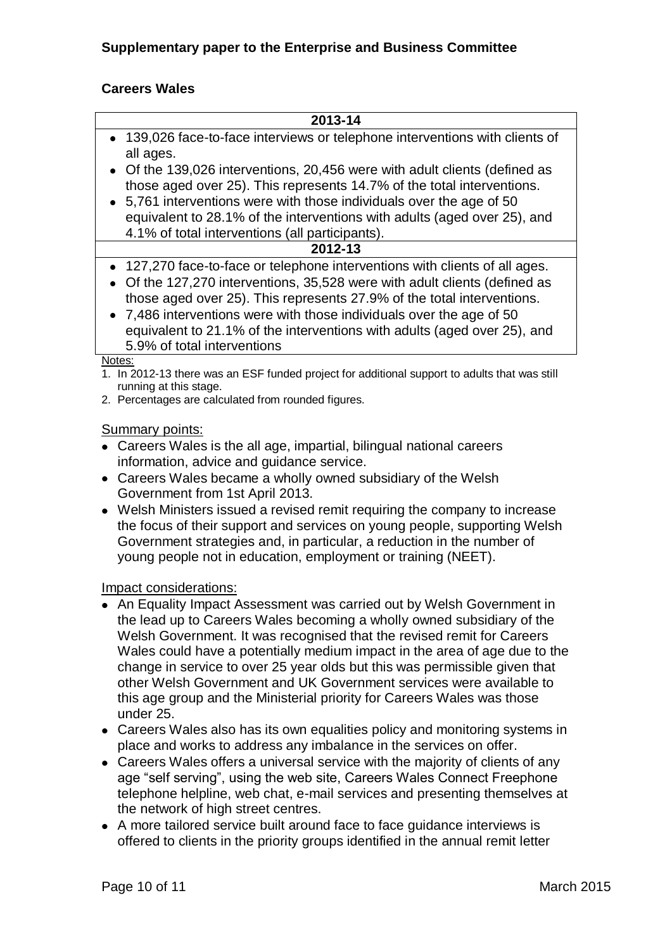## **Careers Wales**

| 2013-14                                                                                                                                                                                                                                                                                                                                                                                                                         |
|---------------------------------------------------------------------------------------------------------------------------------------------------------------------------------------------------------------------------------------------------------------------------------------------------------------------------------------------------------------------------------------------------------------------------------|
| • 139,026 face-to-face interviews or telephone interventions with clients of<br>all ages.                                                                                                                                                                                                                                                                                                                                       |
| • Of the 139,026 interventions, 20,456 were with adult clients (defined as<br>those aged over 25). This represents 14.7% of the total interventions.<br>• 5,761 interventions were with those individuals over the age of 50<br>equivalent to 28.1% of the interventions with adults (aged over 25), and<br>4.1% of total interventions (all participants).                                                                     |
| 2012-13                                                                                                                                                                                                                                                                                                                                                                                                                         |
| 127,270 face-to-face or telephone interventions with clients of all ages.<br>$\bullet$<br>Of the 127,270 interventions, 35,528 were with adult clients (defined as<br>those aged over 25). This represents 27.9% of the total interventions.<br>• 7,486 interventions were with those individuals over the age of 50<br>equivalent to 21.1% of the interventions with adults (aged over 25), and<br>5.9% of total interventions |
| Notes:<br>1. In 2012-13 there was an ESF funded project for additional support to adults that was still<br>running at this stage.<br>2. Percentages are calculated from rounded figures.                                                                                                                                                                                                                                        |

#### Summary points:

- Careers Wales is the all age, impartial, bilingual national careers information, advice and guidance service.
- Careers Wales became a wholly owned subsidiary of the Welsh Government from 1st April 2013.
- Welsh Ministers issued a revised remit requiring the company to increase the focus of their support and services on young people, supporting Welsh Government strategies and, in particular, a reduction in the number of young people not in education, employment or training (NEET).

- An Equality Impact Assessment was carried out by Welsh Government in the lead up to Careers Wales becoming a wholly owned subsidiary of the Welsh Government. It was recognised that the revised remit for Careers Wales could have a potentially medium impact in the area of age due to the change in service to over 25 year olds but this was permissible given that other Welsh Government and UK Government services were available to this age group and the Ministerial priority for Careers Wales was those under 25.
- Careers Wales also has its own equalities policy and monitoring systems in place and works to address any imbalance in the services on offer.
- Careers Wales offers a universal service with the majority of clients of any age "self serving", using the web site, Careers Wales Connect Freephone telephone helpline, web chat, e-mail services and presenting themselves at the network of high street centres.
- A more tailored service built around face to face guidance interviews is offered to clients in the priority groups identified in the annual remit letter